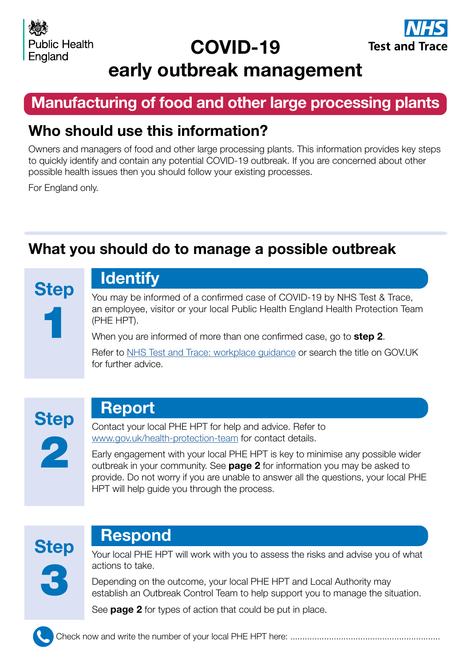# COVID-19



# early outbreak management

## Manufacturing of food and other large processing plants

## Who should use this information?

Owners and managers of food and other large processing plants. This information provides key steps to quickly identify and contain any potential COVID-19 outbreak. If you are concerned about other possible health issues then you should follow your existing processes.

For England only.

## What you should do to manage a possible outbreak

**Step** 1

# **Identify**

You may be informed of a confirmed case of COVID-19 by NHS Test & Trace, an employee, visitor or your local Public Health England Health Protection Team (PHE HPT).

When you are informed of more than one confirmed case, go to step 2.

Refer to [NHS Test and Trace: workplace guidance](https://www.gov.uk/guidance/nhs-test-and-trace-workplace-guidance#guidance-for-employers) or search the title on GOV.UK for further advice.



## Report

Contact your local PHE HPT for help and advice. Refer to [www.gov.uk/health-protection-team](https://www.gov.uk/health-protection-team) for contact details.

Early engagement with your local PHE HPT is key to minimise any possible wider outbreak in your community. See **page 2** for information you may be asked to provide. Do not worry if you are unable to answer all the questions, your local PHE HPT will help guide you through the process.



## Respond

Your local PHE HPT will work with you to assess the risks and advise you of what actions to take.

Depending on the outcome, your local PHE HPT and Local Authority may establish an Outbreak Control Team to help support you to manage the situation.

See **page 2** for types of action that could be put in place.